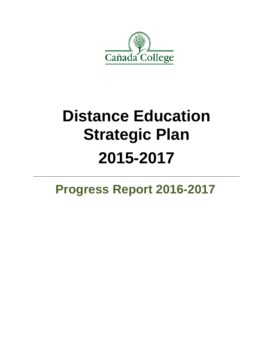

# **Distance Education Strategic Plan 2015-2017**

# **Progress Report 2016-2017**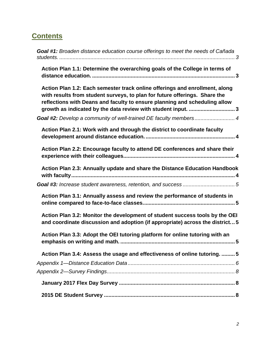# **Contents**

| <b>Goal #1:</b> Broaden distance education course offerings to meet the needs of Cañada                                                                                                                                                                                                                                                                                      |
|------------------------------------------------------------------------------------------------------------------------------------------------------------------------------------------------------------------------------------------------------------------------------------------------------------------------------------------------------------------------------|
| Action Plan 1.1: Determine the overarching goals of the College in terms of                                                                                                                                                                                                                                                                                                  |
| Action Plan 1.2: Each semester track online offerings and enrollment, along<br>with results from student surveys, to plan for future offerings. Share the<br>reflections with Deans and faculty to ensure planning and scheduling allow<br>growth as indicated by the data review with student input. 3<br>Goal #2: Develop a community of well-trained DE faculty members 4 |
| Action Plan 2.1: Work with and through the district to coordinate faculty                                                                                                                                                                                                                                                                                                    |
| Action Plan 2.2: Encourage faculty to attend DE conferences and share their                                                                                                                                                                                                                                                                                                  |
| Action Plan 2.3: Annually update and share the Distance Education Handbook                                                                                                                                                                                                                                                                                                   |
| Action Plan 3.1: Annually assess and review the performance of students in                                                                                                                                                                                                                                                                                                   |
| Action Plan 3.2: Monitor the development of student success tools by the OEI<br>and coordinate discussion and adoption (if appropriate) across the district5                                                                                                                                                                                                                 |
| Action Plan 3.3: Adopt the OEI tutoring platform for online tutoring with an                                                                                                                                                                                                                                                                                                 |
| Action Plan 3.4: Assess the usage and effectiveness of online tutoring.  5                                                                                                                                                                                                                                                                                                   |
|                                                                                                                                                                                                                                                                                                                                                                              |
|                                                                                                                                                                                                                                                                                                                                                                              |
|                                                                                                                                                                                                                                                                                                                                                                              |
|                                                                                                                                                                                                                                                                                                                                                                              |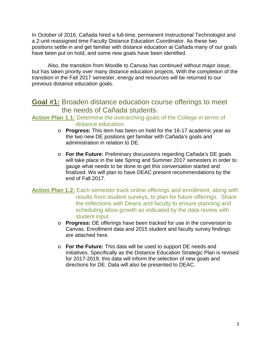In October of 2016, Cañada hired a full-time, permanent Instructional Technologist and a 2-unit reassigned time Faculty Distance Education Coordinator. As these two positions settle in and get familiar with distance education at Cañada many of our goals have been put on hold, and some new goals have been identified.

Also, the transition from Moodle to Canvas has continued without major issue, but has taken priority over many distance education projects. With the completion of the transition in the Fall 2017 semester, energy and resources will be returned to our previous distance education goals.

### <span id="page-2-0"></span>**Goal #1:** Broaden distance education course offerings to meet the needs of Cañada students.

#### <span id="page-2-1"></span>**Action Plan 1.1:** Determine the overarching goals of the College in terms of distance education.

- o **Progress:** This item has been on hold for the 16-17 academic year as the two new DE positions get familiar with Cañada's goals and administration in relation to DE.
- o **For the Future:** Preliminary discussions regarding Cañada's DE goals will take place in the late Spring and Summer 2017 semesters in order to gauge what needs to be done to get this conversation started and finalized. We will plan to have DEAC present recommendations by the end of Fall 2017.
- <span id="page-2-2"></span>**Action Plan 1.2:** Each semester track online offerings and enrollment, along with results from student surveys, to plan for future offerings. Share the reflections with Deans and faculty to ensure planning and scheduling allow growth as indicated by the data review with student input.
	- o **Progress:** DE offerings have been tracked for use in the conversion to Canvas. Enrollment data and 2015 student and faculty survey findings are attached here.
	- o **For the Future:** This data will be used to support DE needs and initiatives. Specifically as the Distance Education Strategic Plan is revised for 2017-2019, this data will inform the selection of new goals and directions for DE. Data will also be presented to DEAC.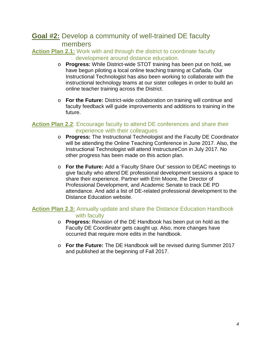## <span id="page-3-0"></span>**Goal #2:** Develop a community of well-trained DE faculty members

<span id="page-3-1"></span>**Action Plan 2.1:** Work with and through the district to coordinate faculty development around distance education.

- o **Progress:** While District-wide STOT training has been put on hold, we have begun piloting a local online teaching training at Cañada. Our Instructional Technologist has also been working to collaborate with the instructional technology teams at our sister colleges in order to build an online teacher training across the District.
- o **For the Future:** District-wide collaboration on training will continue and faculty feedback will guide improvements and additions to training in the future.

#### <span id="page-3-2"></span>**Action Plan 2.2**: Encourage faculty to attend DE conferences and share their experience with their colleagues

- o **Progress:** The Instructional Technologist and the Faculty DE Coordinator will be attending the Online Teaching Conference in June 2017. Also, the Instructional Technologist will attend InstructureCon in July 2017. No other progress has been made on this action plan.
- o **For the Future:** Add a 'Faculty Share Out' session to DEAC meetings to give faculty who attend DE professional development sessions a space to share their experience. Partner with Erin Moore, the Director of Professional Development, and Academic Senate to track DE PD attendance. And add a list of DE-related professional development to the Distance Education website.

#### <span id="page-3-3"></span>**Action Plan 2.3:** Annually update and share the Distance Education Handbook with faculty

- o **Progress:** Revision of the DE Handbook has been put on hold as the Faculty DE Coordinator gets caught up. Also, more changes have occurred that require more edits in the handbook.
- o **For the Future:** The DE Handbook will be revised during Summer 2017 and published at the beginning of Fall 2017.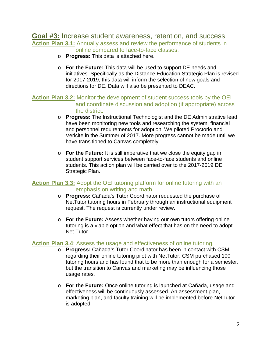#### <span id="page-4-1"></span><span id="page-4-0"></span>**Goal #3:** Increase student awareness, retention, and success **Action Plan 3.1:** Annually assess and review the performance of students in

- online compared to face-to-face classes.
- o **Progress:** This data is attached here.
- o **For the Future:** This data will be used to support DE needs and initiatives. Specifically as the Distance Education Strategic Plan is revised for 2017-2019, this data will inform the selection of new goals and directions for DE. Data will also be presented to DEAC.

#### <span id="page-4-2"></span>**Action Plan 3.2:** Monitor the development of student success tools by the OEI and coordinate discussion and adoption (if appropriate) across the district.

- o **Progress:** The Instructional Technologist and the DE Administrative lead have been monitoring new tools and researching the system, financial and personnel requirements for adoption. We piloted Proctorio and Vericite in the Summer of 2017. More progress cannot be made until we have transitioned to Canvas completely.
- o **For the Future:** It is still imperative that we close the equity gap in student support services between face-to-face students and online students. This action plan will be carried over to the 2017-2019 DE Strategic Plan.

#### <span id="page-4-3"></span>**Action Plan 3.3:** Adopt the OEI tutoring platform for online tutoring with an emphasis on writing and math.

- o **Progress:** Cañada's Tutor Coordinator requested the purchase of NetTutor tutoring hours in February through an instructional equipment request. The request is currently under review.
- o **For the Future:** Assess whether having our own tutors offering online tutoring is a viable option and what effect that has on the need to adopt Net Tutor.

#### <span id="page-4-4"></span>**Action Plan 3.4**: Assess the usage and effectiveness of online tutoring.

- o **Progress:** Cañada's Tutor Coordinator has been in contact with CSM, regarding their online tutoring pilot with NetTutor. CSM purchased 100 tutoring hours and has found that to be more than enough for a semester, but the transition to Canvas and marketing may be influencing those usage rates.
- o **For the Future:** Once online tutoring is launched at Cañada, usage and effectiveness will be continuously assessed. An assessment plan, marketing plan, and faculty training will be implemented before NetTutor is adopted.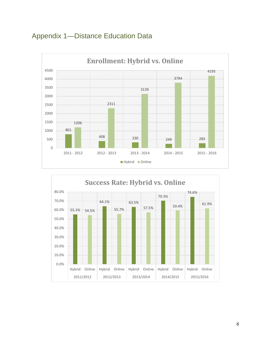<span id="page-5-0"></span>



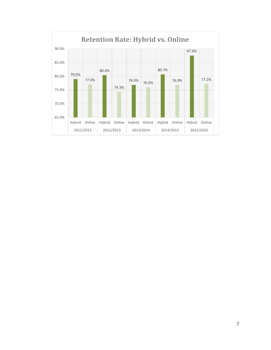